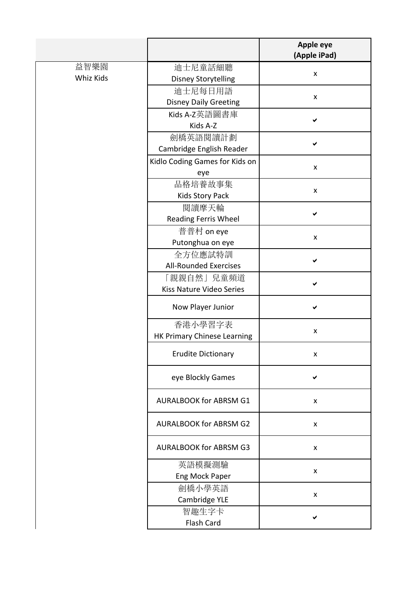|           |                                | <b>Apple eye</b><br>(Apple iPad) |
|-----------|--------------------------------|----------------------------------|
| 益智樂園      | 迪士尼童話細聽                        | $\pmb{\mathsf{X}}$               |
| Whiz Kids | <b>Disney Storytelling</b>     |                                  |
|           | 迪士尼每日用語                        | X                                |
|           | <b>Disney Daily Greeting</b>   |                                  |
|           | Kids A-Z英語圖書庫                  | ✔                                |
|           | Kids A-Z                       |                                  |
|           | 劍橋英語閱讀計劃                       | ✔                                |
|           | Cambridge English Reader       |                                  |
|           | Kidlo Coding Games for Kids on | $\pmb{\mathsf{X}}$               |
|           | eye                            |                                  |
|           | 品格培養故事集                        | X                                |
|           | Kids Story Pack                |                                  |
|           | 閲讀摩天輪                          | ✔                                |
|           | Reading Ferris Wheel           |                                  |
|           | 普普村 on eye                     | $\pmb{\mathsf{X}}$               |
|           | Putonghua on eye               |                                  |
|           | 全方位應試特訓                        | ✔                                |
|           | <b>All-Rounded Exercises</b>   |                                  |
|           | 「親親自然」兒童頻道                     |                                  |
|           | Kiss Nature Video Series       |                                  |
|           | Now Player Junior              | ✔                                |
|           | 香港小學習字表                        | X                                |
|           | HK Primary Chinese Learning    |                                  |
|           | <b>Erudite Dictionary</b>      | х                                |
|           | eye Blockly Games              | ✔                                |
|           | <b>AURALBOOK for ABRSM G1</b>  | $\pmb{\mathsf{X}}$               |
|           | <b>AURALBOOK for ABRSM G2</b>  | X                                |
|           | <b>AURALBOOK for ABRSM G3</b>  | X                                |
|           | 英語模擬測驗                         |                                  |
|           | <b>Eng Mock Paper</b>          | $\pmb{\mathsf{X}}$               |
|           | 劍橋小學英語                         |                                  |
|           | Cambridge YLE                  | X                                |
|           | 智趣生字卡                          | ✔                                |
|           | Flash Card                     |                                  |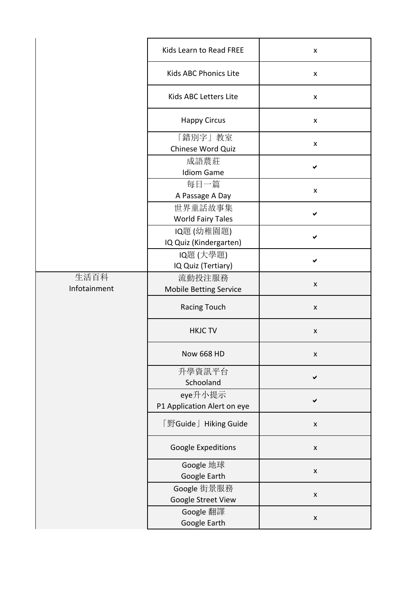|                      | Kids Learn to Read FREE                 | X                  |
|----------------------|-----------------------------------------|--------------------|
|                      | Kids ABC Phonics Lite                   | X                  |
|                      | Kids ABC Letters Lite                   | X                  |
|                      | <b>Happy Circus</b>                     | X                  |
|                      | 「錯別字」教室<br>Chinese Word Quiz            | X                  |
|                      | 成語農莊<br><b>Idiom Game</b>               |                    |
|                      | 每日一篇<br>A Passage A Day                 | $\pmb{\mathsf{x}}$ |
|                      | 世界童話故事集<br><b>World Fairy Tales</b>     | ✔                  |
|                      | IQ題 (幼稚園題)<br>IQ Quiz (Kindergarten)    |                    |
|                      | IQ題 (大學題)<br>IQ Quiz (Tertiary)         |                    |
| 生活百科<br>Infotainment | 流動投注服務<br><b>Mobile Betting Service</b> | X                  |
|                      | <b>Racing Touch</b>                     | X                  |
|                      | <b>HKJC TV</b>                          | X                  |
|                      | <b>Now 668 HD</b>                       | X                  |
|                      | 升學資訊平台<br>Schooland                     | ✔                  |
|                      | eye升小提示<br>P1 Application Alert on eye  | ✔                  |
|                      | 「野Guide」 Hiking Guide                   | X                  |
|                      | Google Expeditions                      | $\pmb{\mathsf{X}}$ |
|                      | Google 地球<br>Google Earth               | X                  |
|                      | Google 街景服務<br>Google Street View       | $\pmb{\mathsf{X}}$ |
|                      | Google 翻譯<br>Google Earth               | X                  |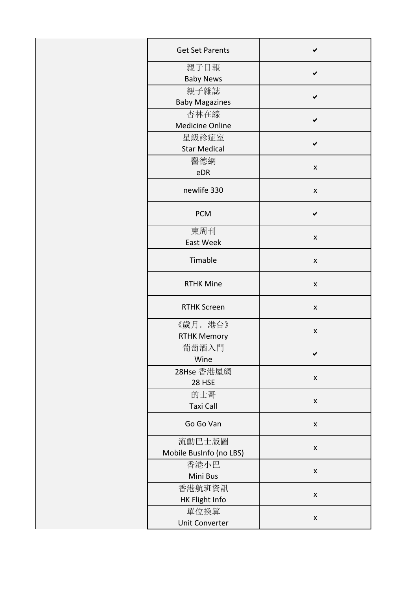| <b>Get Set Parents</b>            |   |
|-----------------------------------|---|
| 親子日報<br><b>Baby News</b>          |   |
| 親子雜誌<br><b>Baby Magazines</b>     |   |
| 杏林在線<br><b>Medicine Online</b>    |   |
| 星級診症室<br><b>Star Medical</b>      |   |
| 醫德網<br>eDR                        | X |
| newlife 330                       | X |
| <b>PCM</b>                        |   |
| 東周刊<br><b>East Week</b>           | x |
| Timable                           | x |
| <b>RTHK Mine</b>                  | X |
| <b>RTHK Screen</b>                | x |
| 《歲月. 港台》<br><b>RTHK Memory</b>    | x |
| 葡萄酒入門<br>Wine                     |   |
| 28Hse 香港屋網<br>28 HSE              | X |
| 的士哥<br><b>Taxi Call</b>           | x |
| Go Go Van                         | X |
| 流動巴士版圖<br>Mobile BusInfo (no LBS) | x |
| 香港小巴<br>Mini Bus                  | x |
| 香港航班資訊<br>HK Flight Info          | x |
| 單位換算<br>Unit Converter            | X |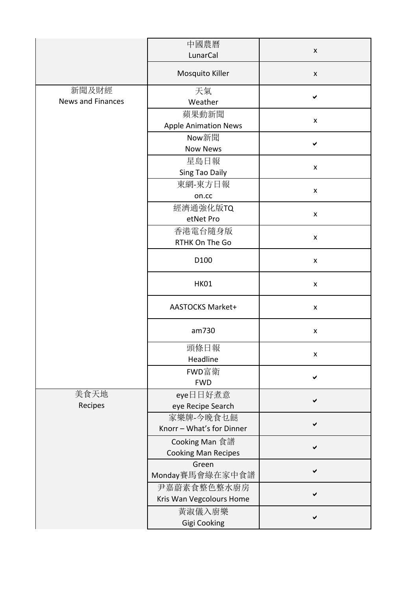|                                   | 中國農曆<br>LunarCal                             | $\pmb{\mathsf{X}}$ |
|-----------------------------------|----------------------------------------------|--------------------|
|                                   | Mosquito Killer                              | $\pmb{\mathsf{X}}$ |
| 新聞及財經<br><b>News and Finances</b> | 天氣<br>Weather                                | ✔                  |
|                                   | 蘋果動新聞<br><b>Apple Animation News</b>         | $\pmb{\mathsf{X}}$ |
|                                   | Now新聞<br><b>Now News</b>                     | ✔                  |
|                                   | 星島日報<br>Sing Tao Daily                       | $\pmb{\mathsf{x}}$ |
|                                   | 東網-東方日報<br>on.cc                             | $\pmb{\mathsf{X}}$ |
|                                   | 經濟通強化版TQ<br>etNet Pro                        | $\pmb{\mathsf{X}}$ |
|                                   | 香港電台隨身版<br>RTHK On The Go                    | $\pmb{\mathsf{X}}$ |
|                                   | D100                                         | X                  |
|                                   | <b>HK01</b>                                  | $\pmb{\mathsf{X}}$ |
|                                   | <b>AASTOCKS Market+</b>                      | $\pmb{\mathsf{X}}$ |
|                                   | am730                                        | X                  |
|                                   | 頭條日報<br>Headline                             | $\pmb{\mathsf{X}}$ |
|                                   | FWD富衛<br><b>FWD</b>                          |                    |
| 美食天地<br>Recipes                   | eye日日好煮意<br>eye Recipe Search                | ✔                  |
|                                   | 家樂牌-今晚食乜餸<br>Knorr - What's for Dinner       | ✔                  |
|                                   | Cooking Man 食譜<br><b>Cooking Man Recipes</b> |                    |
|                                   | Green<br>Monday賽馬會綠在家中食譜                     |                    |
|                                   | 尹嘉蔚素食整色整水廚房<br>Kris Wan Vegcolours Home      |                    |
|                                   | 黃淑儀入廚樂<br>Gigi Cooking                       |                    |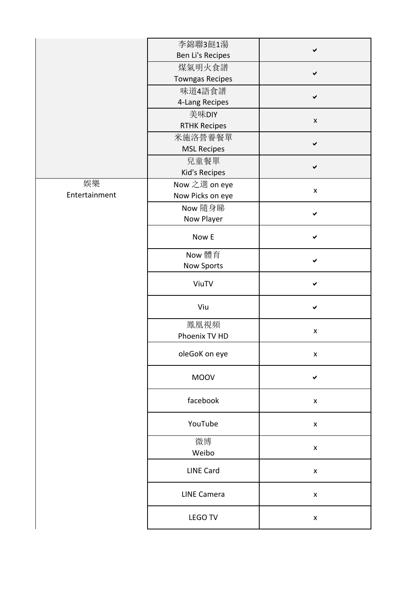|               | 李錦聯3餸1湯                |                    |
|---------------|------------------------|--------------------|
|               | Ben Li's Recipes       |                    |
|               | 煤氣明火食譜                 | ✔                  |
|               | <b>Towngas Recipes</b> |                    |
|               | 味道4語食譜                 | ✓                  |
|               | 4-Lang Recipes         |                    |
|               | 美味DIY                  | $\pmb{\mathsf{X}}$ |
|               | <b>RTHK Recipes</b>    |                    |
|               | 米施洛營養餐單                | ✔                  |
|               | <b>MSL Recipes</b>     |                    |
|               | 兒童餐單                   | ✔                  |
|               | Kid's Recipes          |                    |
| 娛樂            | Now 之選 on eye          |                    |
| Entertainment | Now Picks on eye       | $\pmb{\mathsf{X}}$ |
|               | Now 隨身睇                |                    |
|               | Now Player             |                    |
|               | Now E                  |                    |
|               | Now 體育                 |                    |
|               | Now Sports             | ✔                  |
|               | ViuTV                  |                    |
|               | Viu                    |                    |
|               | 鳳凰視頻<br>Phoenix TV HD  | $\pmb{\mathsf{X}}$ |
|               | oleGoK on eye          | $\pmb{\mathsf{x}}$ |
|               | <b>MOOV</b>            | ✔                  |
|               | facebook               | $\pmb{\mathsf{X}}$ |
|               | YouTube                | $\pmb{\mathsf{X}}$ |
|               | 微博<br>Weibo            | $\pmb{\mathsf{X}}$ |
|               | <b>LINE Card</b>       | $\pmb{\mathsf{X}}$ |
|               | <b>LINE Camera</b>     | $\pmb{\mathsf{X}}$ |
|               | LEGO TV                | $\pmb{\mathsf{X}}$ |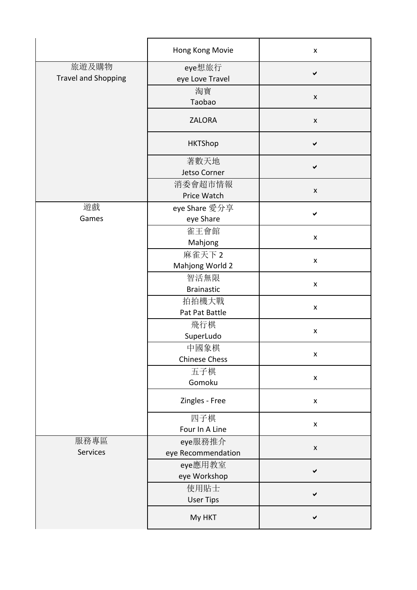|                                     | Hong Kong Movie               | $\pmb{\mathsf{X}}$ |
|-------------------------------------|-------------------------------|--------------------|
| 旅遊及購物<br><b>Travel and Shopping</b> | eye想旅行<br>eye Love Travel     | $\checkmark$       |
|                                     | 淘寶<br>Taobao                  | $\pmb{\mathsf{X}}$ |
|                                     | <b>ZALORA</b>                 | $\pmb{\mathsf{X}}$ |
|                                     | <b>HKTShop</b>                | ✔                  |
|                                     | 著數天地<br>Jetso Corner          | ✔                  |
|                                     | 消委會超市情報<br>Price Watch        | $\pmb{\mathsf{X}}$ |
| 遊戲<br>Games                         | eye Share 愛分享<br>eye Share    |                    |
|                                     | 雀王會館<br>Mahjong               | X                  |
|                                     | 麻雀天下 2<br>Mahjong World 2     | $\pmb{\mathsf{X}}$ |
|                                     | 智活無限<br><b>Brainastic</b>     | $\pmb{\mathsf{X}}$ |
|                                     | 拍拍機大戰<br>Pat Pat Battle       | $\pmb{\mathsf{X}}$ |
|                                     | 飛行棋<br>SuperLudo              | $\pmb{\mathsf{X}}$ |
|                                     | 中國象棋<br><b>Chinese Chess</b>  | X                  |
|                                     | 五子棋<br>Gomoku                 | $\pmb{\mathsf{X}}$ |
|                                     | Zingles - Free                | $\pmb{\mathsf{X}}$ |
|                                     | 四子棋<br>Four In A Line         | $\pmb{\mathsf{X}}$ |
| 服務專區<br>Services                    | eye服務推介<br>eye Recommendation | $\pmb{\mathsf{X}}$ |
|                                     | eye應用教室<br>eye Workshop       |                    |
|                                     | 使用貼士<br><b>User Tips</b>      | ✔                  |
|                                     | My HKT                        |                    |